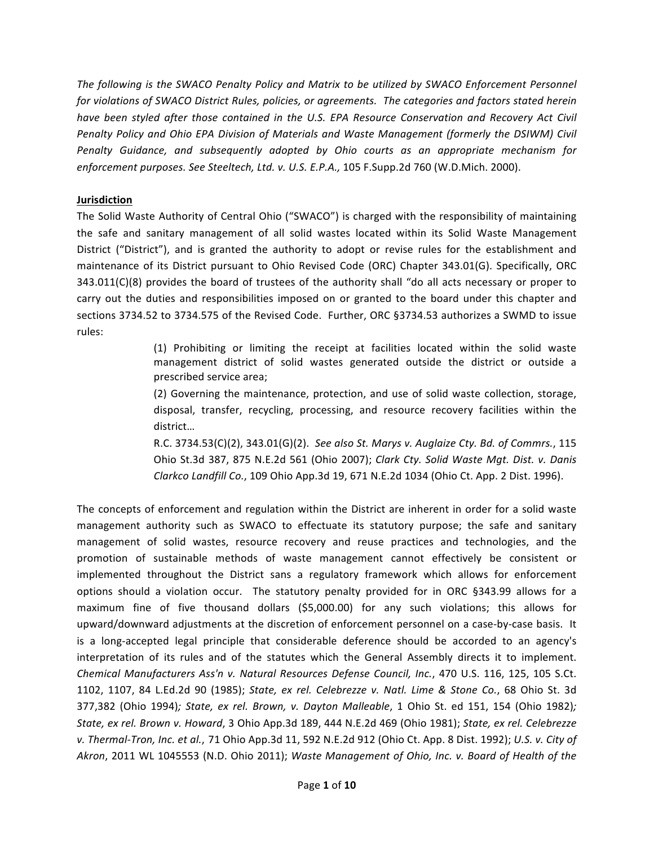The following is the SWACO Penalty Policy and Matrix to be utilized by SWACO Enforcement Personnel for violations of SWACO District Rules, policies, or agreements. The categories and factors stated herein have been styled after those contained in the U.S. EPA Resource Conservation and Recovery Act Civil Penalty Policy and Ohio EPA Division of Materials and Waste Management (formerly the DSIWM) Civil Penalty Guidance, and subsequently adopted by Ohio courts as an appropriate mechanism for enforcement purposes. See Steeltech, Ltd. v. U.S. E.P.A., 105 F.Supp.2d 760 (W.D.Mich. 2000).

## Jurisdiction

The Solid Waste Authority of Central Ohio ("SWACO") is charged with the responsibility of maintaining the safe and sanitary management of all solid wastes located within its Solid Waste Management District ("District"), and is granted the authority to adopt or revise rules for the establishment and maintenance of its District pursuant to Ohio Revised Code (ORC) Chapter 343.01(G). Specifically, ORC 343.011(C)(8) provides the board of trustees of the authority shall "do all acts necessary or proper to carry out the duties and responsibilities imposed on or granted to the board under this chapter and sections 3734.52 to 3734.575 of the Revised Code. Further, ORC §3734.53 authorizes a SWMD to issue rules:

> (1) Prohibiting or limiting the receipt at facilities located within the solid waste management district of solid wastes generated outside the district or outside a prescribed service area;

> (2) Governing the maintenance, protection, and use of solid waste collection, storage, disposal, transfer, recycling, processing, and resource recovery facilities within the district...

> R.C. 3734.53(C)(2), 343.01(G)(2). See also St. Marys v. Auglaize Cty. Bd. of Commrs., 115 Ohio St.3d 387, 875 N.E.2d 561 (Ohio 2007); Clark Cty. Solid Waste Mat. Dist. v. Danis Clarkco Landfill Co., 109 Ohio App.3d 19, 671 N.E.2d 1034 (Ohio Ct. App. 2 Dist. 1996).

The concepts of enforcement and regulation within the District are inherent in order for a solid waste management authority such as SWACO to effectuate its statutory purpose; the safe and sanitary management of solid wastes, resource recovery and reuse practices and technologies, and the promotion of sustainable methods of waste management cannot effectively be consistent or implemented throughout the District sans a regulatory framework which allows for enforcement options should a violation occur. The statutory penalty provided for in ORC §343.99 allows for a maximum fine of five thousand dollars (\$5,000.00) for any such violations; this allows for upward/downward adjustments at the discretion of enforcement personnel on a case-by-case basis. It is a long-accepted legal principle that considerable deference should be accorded to an agency's interpretation of its rules and of the statutes which the General Assembly directs it to implement. Chemical Manufacturers Ass'n v. Natural Resources Defense Council, Inc., 470 U.S. 116, 125, 105 S.Ct. 1102, 1107, 84 L.Ed.2d 90 (1985); State, ex rel. Celebrezze v. Natl. Lime & Stone Co., 68 Ohio St. 3d 377,382 (Ohio 1994); State, ex rel. Brown, v. Dayton Malleable, 1 Ohio St. ed 151, 154 (Ohio 1982); State, ex rel. Brown v. Howard, 3 Ohio App.3d 189, 444 N.E.2d 469 (Ohio 1981); State, ex rel. Celebrezze v. Thermal-Tron, Inc. et al., 71 Ohio App.3d 11, 592 N.E.2d 912 (Ohio Ct. App. 8 Dist. 1992); U.S. v. City of Akron, 2011 WL 1045553 (N.D. Ohio 2011); Waste Management of Ohio, Inc. v. Board of Health of the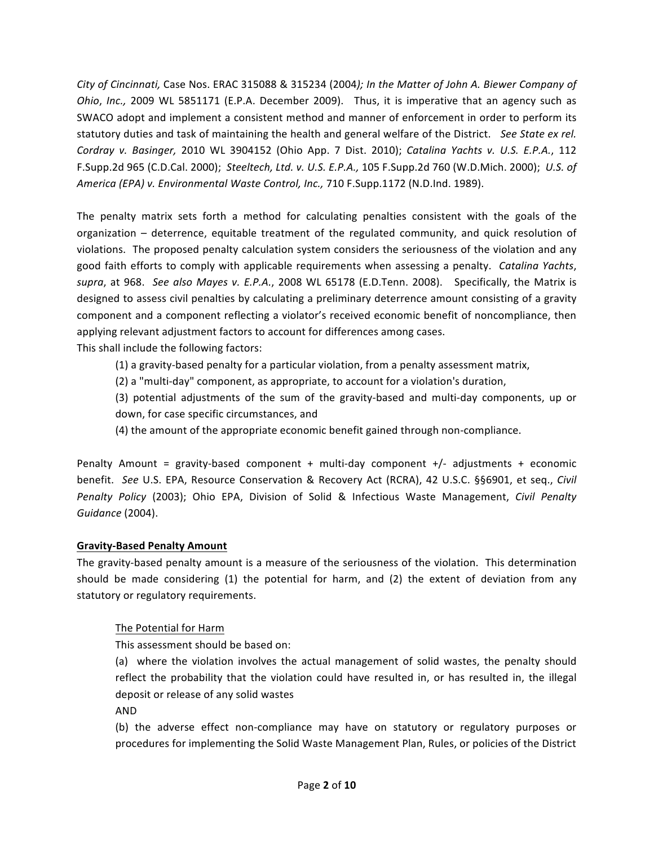City of Cincinnati, Case Nos. ERAC 315088 & 315234 (2004); In the Matter of John A. Biewer Company of Ohio, Inc., 2009 WL 5851171 (E.P.A. December 2009). Thus, it is imperative that an agency such as SWACO adopt and implement a consistent method and manner of enforcement in order to perform its statutory duties and task of maintaining the health and general welfare of the District. See State ex rel. Cordray v. Basinger, 2010 WL 3904152 (Ohio App. 7 Dist. 2010); Catalina Yachts v. U.S. E.P.A., 112 F.Supp.2d 965 (C.D.Cal. 2000); Steeltech, Ltd. v. U.S. E.P.A., 105 F.Supp.2d 760 (W.D.Mich. 2000); U.S. of America (EPA) v. Environmental Waste Control, Inc., 710 F.Supp.1172 (N.D.Ind. 1989).

The penalty matrix sets forth a method for calculating penalties consistent with the goals of the organization – deterrence, equitable treatment of the regulated community, and quick resolution of violations. The proposed penalty calculation system considers the seriousness of the violation and any good faith efforts to comply with applicable requirements when assessing a penalty. Catalina Yachts, supra, at 968. See also Mayes v. E.P.A., 2008 WL 65178 (E.D.Tenn. 2008). Specifically, the Matrix is designed to assess civil penalties by calculating a preliminary deterrence amount consisting of a gravity component and a component reflecting a violator's received economic benefit of noncompliance, then applying relevant adjustment factors to account for differences among cases. This shall include the following factors:

(1) a gravity-based penalty for a particular violation, from a penalty assessment matrix,

(2) a "multi-day" component, as appropriate, to account for a violation's duration,

(3) potential adjustments of the sum of the gravity-based and multi-day components, up or down, for case specific circumstances, and

(4) the amount of the appropriate economic benefit gained through non-compliance.

Penalty Amount = gravity-based component + multi-day component +/- adjustments + economic benefit. See U.S. EPA, Resource Conservation & Recovery Act (RCRA), 42 U.S.C. §§6901, et seq., Civil Penalty Policy (2003); Ohio EPA, Division of Solid & Infectious Waste Management, Civil Penalty Guidance (2004).

## **Gravity-Based Penalty Amount**

The gravity-based penalty amount is a measure of the seriousness of the violation. This determination should be made considering (1) the potential for harm, and (2) the extent of deviation from any statutory or regulatory requirements.

## The Potential for Harm

This assessment should be based on:

(a) where the violation involves the actual management of solid wastes, the penalty should reflect the probability that the violation could have resulted in, or has resulted in, the illegal deposit or release of any solid wastes

**AND** 

(b) the adverse effect non-compliance may have on statutory or regulatory purposes or procedures for implementing the Solid Waste Management Plan, Rules, or policies of the District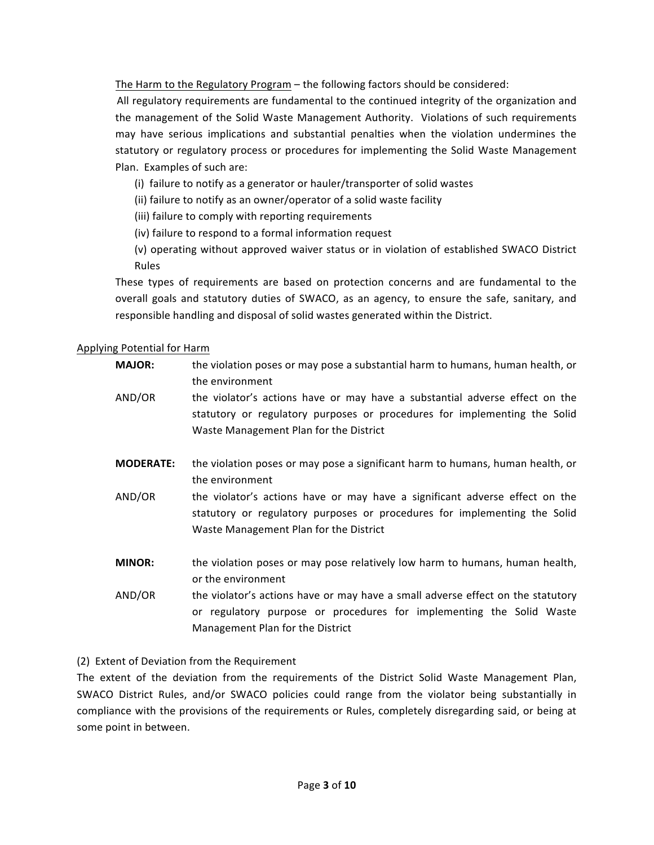The Harm to the Regulatory Program – the following factors should be considered:

All regulatory requirements are fundamental to the continued integrity of the organization and the management of the Solid Waste Management Authority. Violations of such requirements may have serious implications and substantial penalties when the violation undermines the statutory or regulatory process or procedures for implementing the Solid Waste Management Plan. Examples of such are:

- (i) failure to notify as a generator or hauler/transporter of solid wastes
- (ii) failure to notify as an owner/operator of a solid waste facility
- (iii) failure to comply with reporting requirements
- (iv) failure to respond to a formal information request
- (v) operating without approved waiver status or in violation of established SWACO District Rules

These types of requirements are based on protection concerns and are fundamental to the overall goals and statutory duties of SWACO, as an agency, to ensure the safe, sanitary, and responsible handling and disposal of solid wastes generated within the District.

#### Applying Potential for Harm

| <b>MAJOR:</b> | the violation poses or may pose a substantial harm to humans, human health, or |
|---------------|--------------------------------------------------------------------------------|
|               | the environment                                                                |

- AND/OR the violator's actions have or may have a substantial adverse effect on the statutory or regulatory purposes or procedures for implementing the Solid Waste Management Plan for the District
- **MODERATE:** the violation poses or may pose a significant harm to humans, human health, or the environment
- AND/OR the violator's actions have or may have a significant adverse effect on the statutory or regulatory purposes or procedures for implementing the Solid Waste Management Plan for the District
- **MINOR:** the violation poses or may pose relatively low harm to humans, human health, or the environment
- AND/OR the violator's actions have or may have a small adverse effect on the statutory or regulatory purpose or procedures for implementing the Solid Waste Management Plan for the District

#### (2) Extent of Deviation from the Requirement

The extent of the deviation from the requirements of the District Solid Waste Management Plan, SWACO District Rules, and/or SWACO policies could range from the violator being substantially in compliance with the provisions of the requirements or Rules, completely disregarding said, or being at some point in between.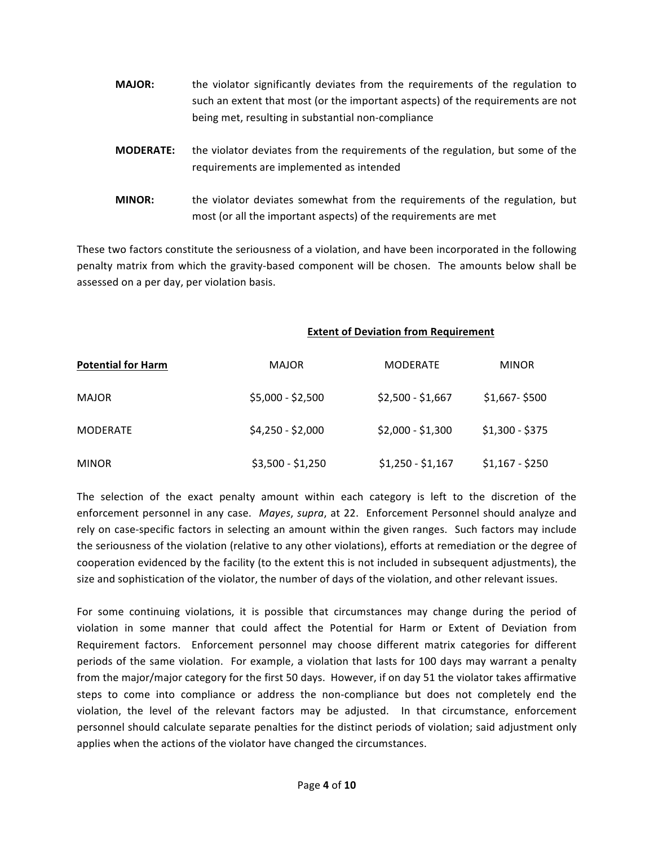- **MAJOR:** the violator significantly deviates from the requirements of the regulation to such an extent that most (or the important aspects) of the requirements are not being met, resulting in substantial non-compliance
- **MODERATE:** the violator deviates from the requirements of the regulation, but some of the requirements are implemented as intended
- **MINOR:** the violator deviates somewhat from the requirements of the regulation, but most (or all the important aspects) of the requirements are met

These two factors constitute the seriousness of a violation, and have been incorporated in the following penalty matrix from which the gravity-based component will be chosen. The amounts below shall be assessed on a per day, per violation basis.

#### **Extent of Deviation from Requirement**

| <b>Potential for Harm</b> | <b>MAJOR</b>      | <b>MODERATE</b>   | <b>MINOR</b>    |  |
|---------------------------|-------------------|-------------------|-----------------|--|
| <b>MAJOR</b>              | $$5,000 - $2,500$ | $$2,500 - $1,667$ | $$1,667 - $500$ |  |
| <b>MODERATE</b>           | $$4,250 - $2,000$ | $$2,000 - $1,300$ | $$1,300 - $375$ |  |
| <b>MINOR</b>              | \$3,500 - \$1,250 | $$1,250 - $1,167$ | $$1,167 - $250$ |  |

The selection of the exact penalty amount within each category is left to the discretion of the enforcement personnel in any case. *Mayes, supra*, at 22. Enforcement Personnel should analyze and rely on case-specific factors in selecting an amount within the given ranges. Such factors may include the seriousness of the violation (relative to any other violations), efforts at remediation or the degree of cooperation evidenced by the facility (to the extent this is not included in subsequent adjustments), the size and sophistication of the violator, the number of days of the violation, and other relevant issues.

For some continuing violations, it is possible that circumstances may change during the period of violation in some manner that could affect the Potential for Harm or Extent of Deviation from Requirement factors. Enforcement personnel may choose different matrix categories for different periods of the same violation. For example, a violation that lasts for 100 days may warrant a penalty from the major/major category for the first 50 days. However, if on day 51 the violator takes affirmative steps to come into compliance or address the non-compliance but does not completely end the violation, the level of the relevant factors may be adjusted. In that circumstance, enforcement personnel should calculate separate penalties for the distinct periods of violation; said adjustment only applies when the actions of the violator have changed the circumstances.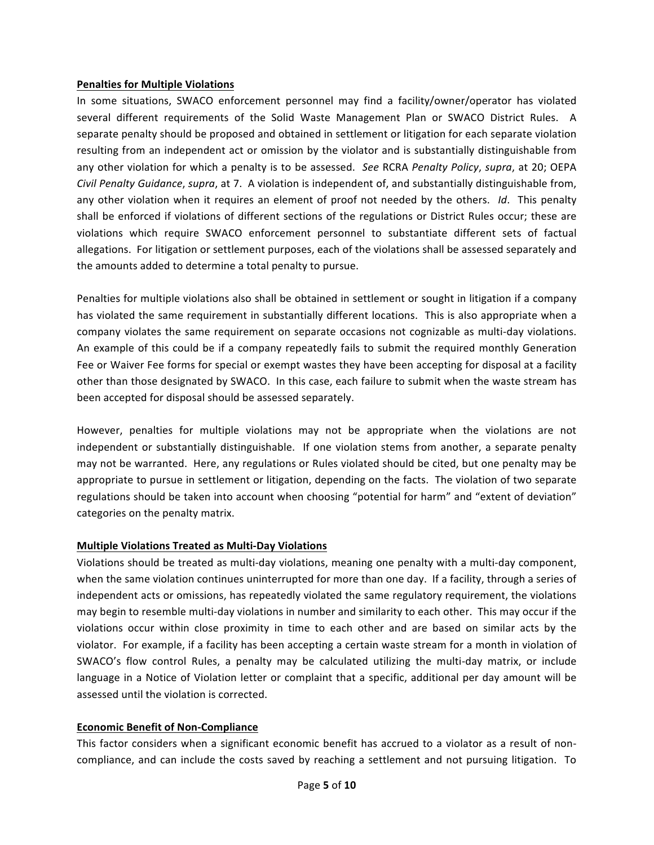#### **Penalties for Multiple Violations**

In some situations, SWACO enforcement personnel may find a facility/owner/operator has violated several different requirements of the Solid Waste Management Plan or SWACO District Rules. A separate penalty should be proposed and obtained in settlement or litigation for each separate violation resulting from an independent act or omission by the violator and is substantially distinguishable from any other violation for which a penalty is to be assessed. *See* RCRA *Penalty Policy*, *supra*, at 20; OEPA *Civil Penalty Guidance, supra,* at 7. A violation is independent of, and substantially distinguishable from, any other violation when it requires an element of proof not needed by the others. *Id*. This penalty shall be enforced if violations of different sections of the regulations or District Rules occur; these are violations which require SWACO enforcement personnel to substantiate different sets of factual allegations. For litigation or settlement purposes, each of the violations shall be assessed separately and the amounts added to determine a total penalty to pursue.

Penalties for multiple violations also shall be obtained in settlement or sought in litigation if a company has violated the same requirement in substantially different locations. This is also appropriate when a company violates the same requirement on separate occasions not cognizable as multi-day violations. An example of this could be if a company repeatedly fails to submit the required monthly Generation Fee or Waiver Fee forms for special or exempt wastes they have been accepting for disposal at a facility other than those designated by SWACO. In this case, each failure to submit when the waste stream has been accepted for disposal should be assessed separately.

However, penalties for multiple violations may not be appropriate when the violations are not independent or substantially distinguishable. If one violation stems from another, a separate penalty may not be warranted. Here, any regulations or Rules violated should be cited, but one penalty may be appropriate to pursue in settlement or litigation, depending on the facts. The violation of two separate regulations should be taken into account when choosing "potential for harm" and "extent of deviation" categories on the penalty matrix.

#### **Multiple Violations Treated as Multi-Day Violations**

Violations should be treated as multi-day violations, meaning one penalty with a multi-day component, when the same violation continues uninterrupted for more than one day. If a facility, through a series of independent acts or omissions, has repeatedly violated the same regulatory requirement, the violations may begin to resemble multi-day violations in number and similarity to each other. This may occur if the violations occur within close proximity in time to each other and are based on similar acts by the violator. For example, if a facility has been accepting a certain waste stream for a month in violation of SWACO's flow control Rules, a penalty may be calculated utilizing the multi-day matrix, or include language in a Notice of Violation letter or complaint that a specific, additional per day amount will be assessed until the violation is corrected.

#### **Economic Benefit of Non-Compliance**

This factor considers when a significant economic benefit has accrued to a violator as a result of noncompliance, and can include the costs saved by reaching a settlement and not pursuing litigation. To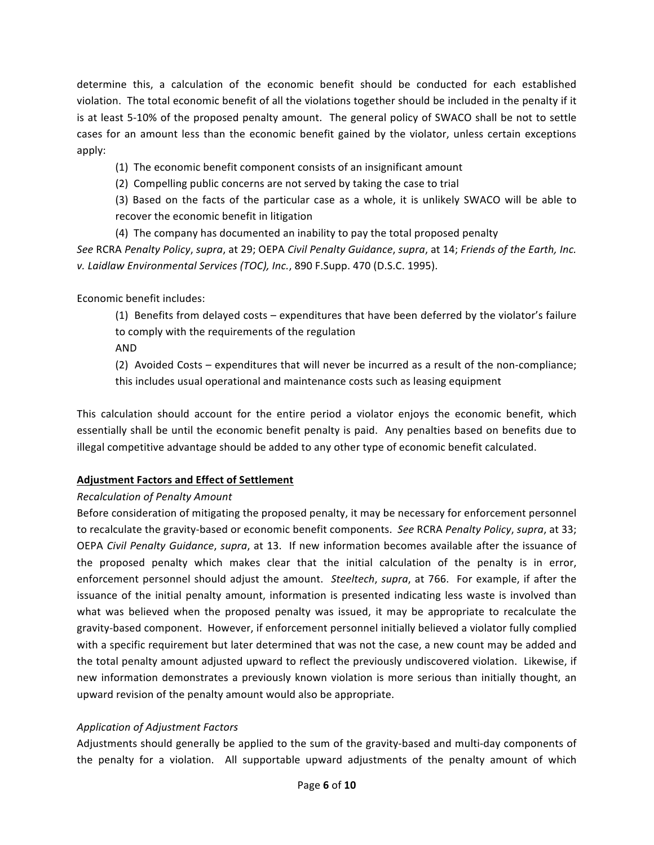determine this, a calculation of the economic benefit should be conducted for each established violation. The total economic benefit of all the violations together should be included in the penalty if it is at least 5-10% of the proposed penalty amount. The general policy of SWACO shall be not to settle cases for an amount less than the economic benefit gained by the violator, unless certain exceptions apply:

(1) The economic benefit component consists of an insignificant amount

(2) Compelling public concerns are not served by taking the case to trial

(3) Based on the facts of the particular case as a whole, it is unlikely SWACO will be able to recover the economic benefit in litigation

(4) The company has documented an inability to pay the total proposed penalty *See* RCRA *Penalty Policy, supra,* at 29; OEPA *Civil Penalty Guidance, supra,* at 14; *Friends of the Earth, Inc. v. Laidlaw Environmental Services (TOC), Inc.*, 890 F.Supp. 470 (D.S.C. 1995).

Economic benefit includes:

(1) Benefits from delayed costs – expenditures that have been deferred by the violator's failure to comply with the requirements of the regulation

AND

(2) Avoided Costs – expenditures that will never be incurred as a result of the non-compliance; this includes usual operational and maintenance costs such as leasing equipment

This calculation should account for the entire period a violator enjoys the economic benefit, which essentially shall be until the economic benefit penalty is paid. Any penalties based on benefits due to illegal competitive advantage should be added to any other type of economic benefit calculated.

## **Adjustment-Factors-and-Effect-of-Settlement**

## *Recalculation\$of\$Penalty\$Amount*

Before consideration of mitigating the proposed penalty, it may be necessary for enforcement personnel to recalculate the gravity-based or economic benefit components. *See* RCRA *Penalty Policy, supra*, at 33; OEPA Civil Penalty Guidance, *supra*, at 13. If new information becomes available after the issuance of the proposed penalty which makes clear that the initial calculation of the penalty is in error, enforcement personnel should adjust the amount. *Steeltech, supra*, at 766. For example, if after the issuance of the initial penalty amount, information is presented indicating less waste is involved than what was believed when the proposed penalty was issued, it may be appropriate to recalculate the gravity-based component. However, if enforcement personnel initially believed a violator fully complied with a specific requirement but later determined that was not the case, a new count may be added and the total penalty amount adjusted upward to reflect the previously undiscovered violation. Likewise, if new information demonstrates a previously known violation is more serious than initially thought, an upward revision of the penalty amount would also be appropriate.

## *Application\$of\$Adjustment\$Factors*

Adjustments should generally be applied to the sum of the gravity-based and multi-day components of the penalty for a violation. All supportable upward adjustments of the penalty amount of which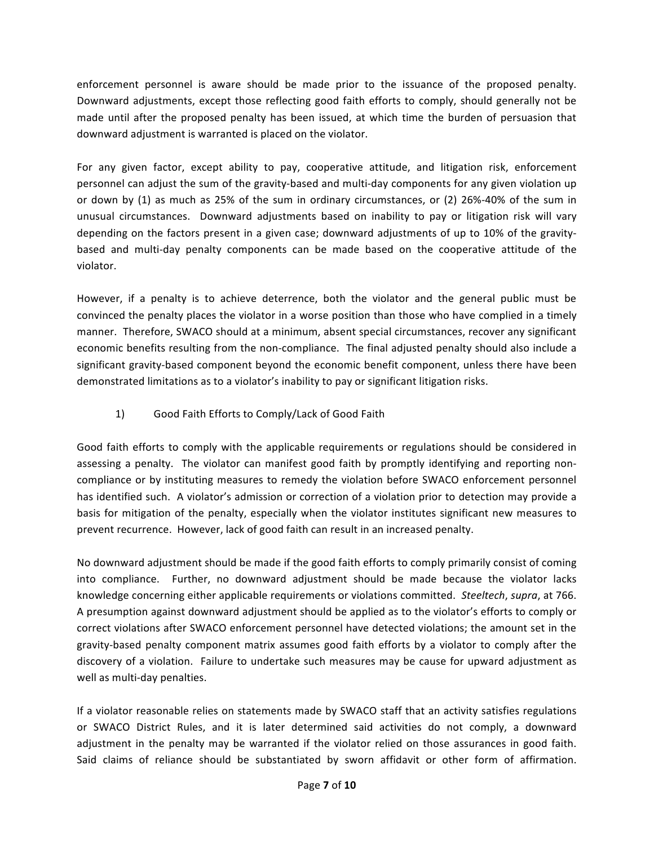enforcement personnel is aware should be made prior to the issuance of the proposed penalty. Downward adjustments, except those reflecting good faith efforts to comply, should generally not be made until after the proposed penalty has been issued, at which time the burden of persuasion that downward adjustment is warranted is placed on the violator.

For any given factor, except ability to pay, cooperative attitude, and litigation risk, enforcement personnel can adjust the sum of the gravity-based and multi-day components for any given violation up or down by (1) as much as 25% of the sum in ordinary circumstances, or (2) 26%-40% of the sum in unusual circumstances. Downward adjustments based on inability to pay or litigation risk will vary depending on the factors present in a given case; downward adjustments of up to 10% of the gravitybased and multi-day penalty components can be made based on the cooperative attitude of the violator.

However, if a penalty is to achieve deterrence, both the violator and the general public must be convinced the penalty places the violator in a worse position than those who have complied in a timely manner. Therefore, SWACO should at a minimum, absent special circumstances, recover any significant economic benefits resulting from the non-compliance. The final adjusted penalty should also include a significant gravity-based component beyond the economic benefit component, unless there have been demonstrated limitations as to a violator's inability to pay or significant litigation risks.

## 1) Good Faith Efforts to Comply/Lack of Good Faith

Good faith efforts to comply with the applicable requirements or regulations should be considered in assessing a penalty. The violator can manifest good faith by promptly identifying and reporting noncompliance or by instituting measures to remedy the violation before SWACO enforcement personnel has identified such. A violator's admission or correction of a violation prior to detection may provide a basis for mitigation of the penalty, especially when the violator institutes significant new measures to prevent recurrence. However, lack of good faith can result in an increased penalty.

No downward adjustment should be made if the good faith efforts to comply primarily consist of coming into compliance. Further, no downward adjustment should be made because the violator lacks knowledge concerning either applicable requirements or violations committed. Steeltech, *supra*, at 766. A presumption against downward adjustment should be applied as to the violator's efforts to comply or correct violations after SWACO enforcement personnel have detected violations; the amount set in the gravity-based penalty component matrix assumes good faith efforts by a violator to comply after the discovery of a violation. Failure to undertake such measures may be cause for upward adjustment as well as multi-day penalties.

If a violator reasonable relies on statements made by SWACO staff that an activity satisfies regulations or SWACO District Rules, and it is later determined said activities do not comply, a downward adjustment in the penalty may be warranted if the violator relied on those assurances in good faith. Said claims of reliance should be substantiated by sworn affidavit or other form of affirmation.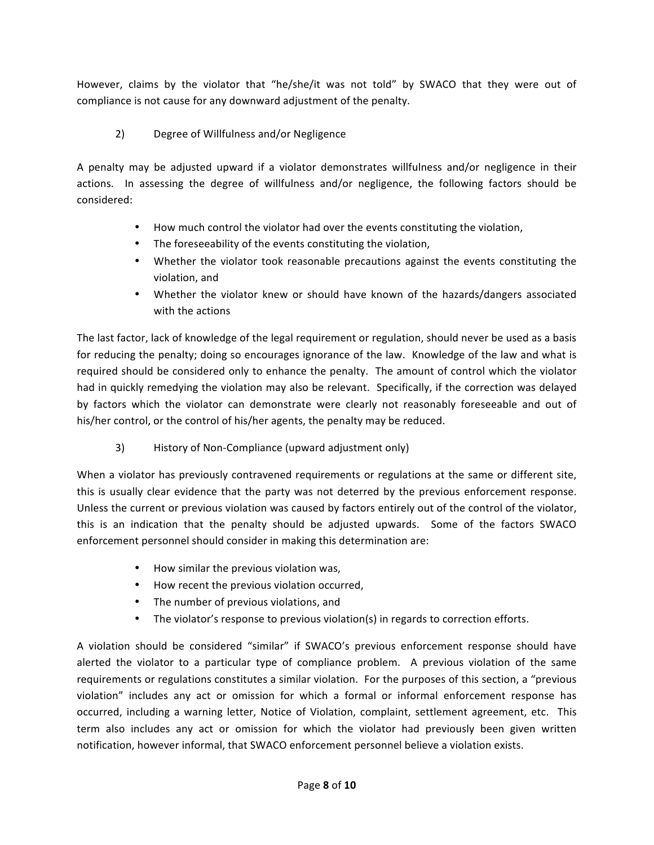However, claims by the violator that "he/she/it was not told" by SWACO that they were out of compliance is not cause for any downward adjustment of the penalty.

# 2) Degree of Willfulness and/or Negligence

A penalty may be adjusted upward if a violator demonstrates willfulness and/or negligence in their actions. In assessing the degree of willfulness and/or negligence, the following factors should be considered:

- How much control the violator had over the events constituting the violation,
- The foreseeability of the events constituting the violation,
- Whether the violator took reasonable precautions against the events constituting the violation, and
- Whether the violator knew or should have known of the hazards/dangers associated with the actions

The last factor, lack of knowledge of the legal requirement or regulation, should never be used as a basis for reducing the penalty; doing so encourages ignorance of the law. Knowledge of the law and what is required should be considered only to enhance the penalty. The amount of control which the violator had in quickly remedying the violation may also be relevant. Specifically, if the correction was delayed by factors which the violator can demonstrate were clearly not reasonably foreseeable and out of his/her control, or the control of his/her agents, the penalty may be reduced.

3) History of Non-Compliance (upward adjustment only)

When a violator has previously contravened requirements or regulations at the same or different site, this is usually clear evidence that the party was not deterred by the previous enforcement response. Unless the current or previous violation was caused by factors entirely out of the control of the violator, this is an indication that the penalty should be adjusted upwards. Some of the factors SWACO enforcement personnel should consider in making this determination are:

- How similar the previous violation was,
- How recent the previous violation occurred,
- The number of previous violations, and
- The violator's response to previous violation(s) in regards to correction efforts.

A violation should be considered "similar" if SWACO's previous enforcement response should have alerted the violator to a particular type of compliance problem. A previous violation of the same requirements or regulations constitutes a similar violation. For the purposes of this section, a "previous" violation" includes any act or omission for which a formal or informal enforcement response has occurred, including a warning letter, Notice of Violation, complaint, settlement agreement, etc. This term also includes any act or omission for which the violator had previously been given written notification, however informal, that SWACO enforcement personnel believe a violation exists.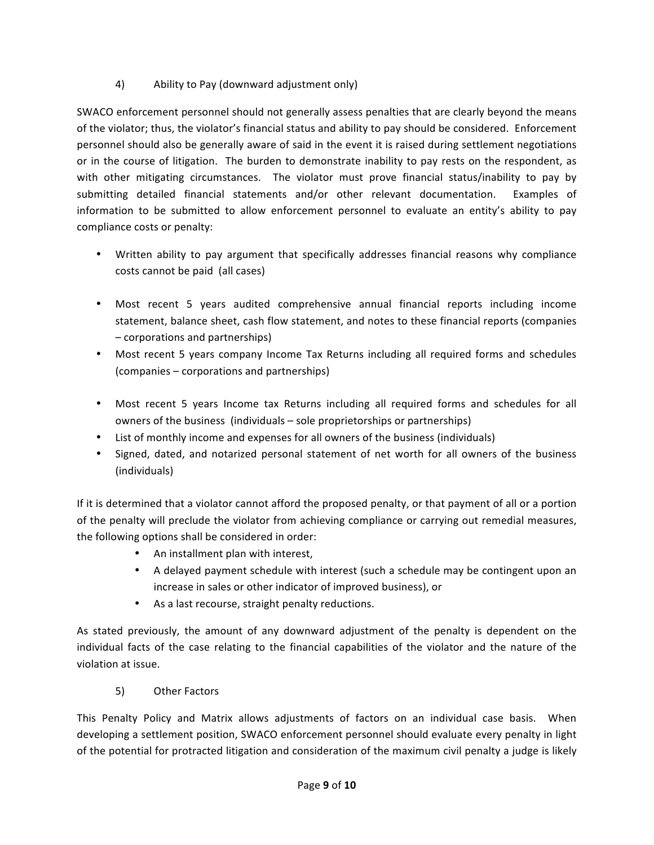## 4) Ability to Pay (downward adjustment only)

SWACO enforcement personnel should not generally assess penalties that are clearly beyond the means of the violator; thus, the violator's financial status and ability to pay should be considered. Enforcement personnel should also be generally aware of said in the event it is raised during settlement negotiations or in the course of litigation. The burden to demonstrate inability to pay rests on the respondent, as with other mitigating circumstances. The violator must prove financial status/inability to pay by submitting detailed financial statements and/or other relevant documentation. Examples of information to be submitted to allow enforcement personnel to evaluate an entity's ability to pay compliance costs or penalty:

- Written ability to pay argument that specifically addresses financial reasons why compliance costs cannot be paid (all cases)
- Most recent 5 years audited comprehensive annual financial reports including income statement, balance sheet, cash flow statement, and notes to these financial reports (companies – corporations!and!partnerships)
- Most recent 5 years company Income Tax Returns including all required forms and schedules (companies – corporations and partnerships)
- Most recent 5 years Income tax Returns including all required forms and schedules for all owners of the business (individuals – sole proprietorships or partnerships)
- List of monthly income and expenses for all owners of the business (individuals)
- Signed, dated, and notarized personal statement of net worth for all owners of the business (individuals)

If it is determined that a violator cannot afford the proposed penalty, or that payment of all or a portion of the penalty will preclude the violator from achieving compliance or carrying out remedial measures, the following options shall be considered in order:

- An installment plan with interest,
- A delayed payment schedule with interest (such a schedule may be contingent upon an increase in sales or other indicator of improved business), or
- As a last recourse, straight penalty reductions.

As stated previously, the amount of any downward adjustment of the penalty is dependent on the individual facts of the case relating to the financial capabilities of the violator and the nature of the violation at issue.

5) Other Factors

This Penalty Policy and Matrix allows adjustments of factors on an individual case basis. When developing a settlement position, SWACO enforcement personnel should evaluate every penalty in light of the potential for protracted litigation and consideration of the maximum civil penalty a judge is likely